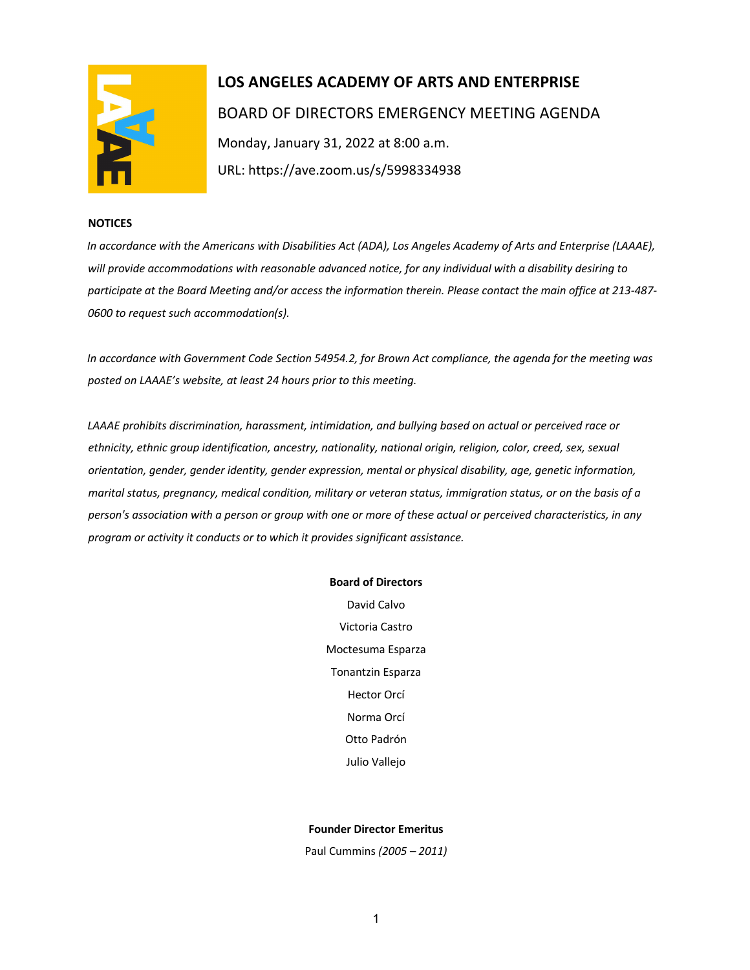

# **LOS ANGELES ACADEMY OF ARTS AND ENTERPRISE**  BOARD OF DIRECTORS EMERGENCY MEETING AGENDA Monday, January 31, 2022 at 8:00 a.m. URL: https://ave.zoom.us/s/5998334938

#### **NOTICES**

*In accordance with the Americans with Disabilities Act (ADA), Los Angeles Academy of Arts and Enterprise (LAAAE), will provide accommodations with reasonable advanced notice, for any individual with a disability desiring to participate at the Board Meeting and/or access the information therein. Please contact the main office at 213-487- 0600 to request such accommodation(s).* 

*In accordance with Government Code Section 54954.2, for Brown Act compliance, the agenda for the meeting was posted on LAAAE's website, at least 24 hours prior to this meeting.* 

*LAAAE prohibits discrimination, harassment, intimidation, and bullying based on actual or perceived race or ethnicity, ethnic group identification, ancestry, nationality, national origin, religion, color, creed, sex, sexual orientation, gender, gender identity, gender expression, mental or physical disability, age, genetic information, marital status, pregnancy, medical condition, military or veteran status, immigration status, or on the basis of a person's association with a person or group with one or more of these actual or perceived characteristics, in any program or activity it conducts or to which it provides significant assistance.* 

#### **Board of Directors**

David Calvo Victoria Castro Moctesuma Esparza Tonantzin Esparza Hector Orcí Norma Orcí Otto Padrón Julio Vallejo

### **Founder Director Emeritus**

Paul Cummins *(2005 – 2011)*